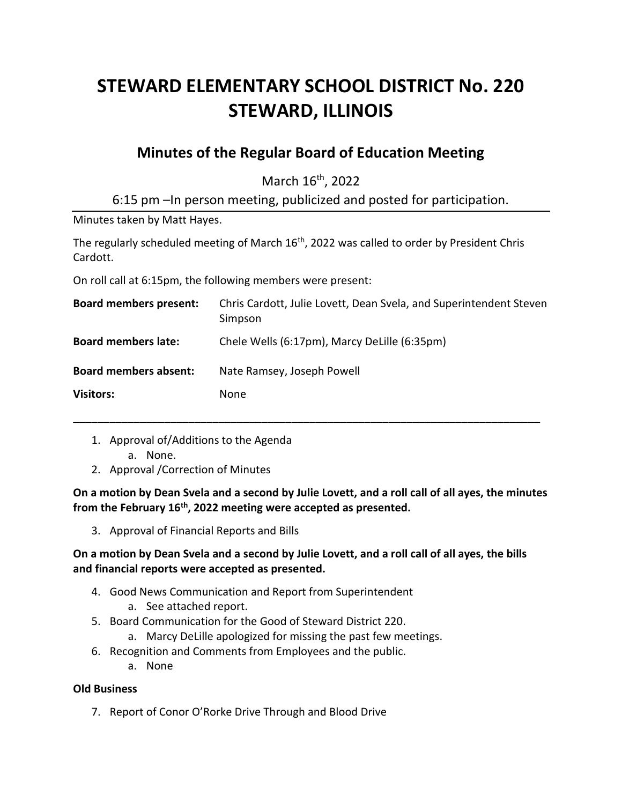# **STEWARD ELEMENTARY SCHOOL DISTRICT No. 220 STEWARD, ILLINOIS**

# **Minutes of the Regular Board of Education Meeting**

March 16<sup>th</sup>, 2022

6:15 pm –In person meeting, publicized and posted for participation.

Minutes taken by Matt Hayes.

The regularly scheduled meeting of March 16<sup>th</sup>, 2022 was called to order by President Chris Cardott.

On roll call at 6:15pm, the following members were present:

| <b>Board members present:</b> | Chris Cardott, Julie Lovett, Dean Svela, and Superintendent Steven<br>Simpson |
|-------------------------------|-------------------------------------------------------------------------------|
| <b>Board members late:</b>    | Chele Wells (6:17pm), Marcy DeLille (6:35pm)                                  |
| <b>Board members absent:</b>  | Nate Ramsey, Joseph Powell                                                    |
| <b>Visitors:</b>              | None                                                                          |

**\_\_\_\_\_\_\_\_\_\_\_\_\_\_\_\_\_\_\_\_\_\_\_\_\_\_\_\_\_\_\_\_\_\_\_\_\_\_\_\_\_\_\_\_\_\_\_\_\_\_\_\_\_\_\_\_\_\_\_\_\_\_\_\_\_\_\_\_\_\_\_\_\_\_\_\_\_**

- 1. Approval of/Additions to the Agenda
	- a. None.
- 2. Approval /Correction of Minutes

**On a motion by Dean Svela and a second by Julie Lovett, and a roll call of all ayes, the minutes from the February 16th, 2022 meeting were accepted as presented.**

3. Approval of Financial Reports and Bills

## **On a motion by Dean Svela and a second by Julie Lovett, and a roll call of all ayes, the bills and financial reports were accepted as presented.**

- 4. Good News Communication and Report from Superintendent
	- a. See attached report.
- 5. Board Communication for the Good of Steward District 220.
	- a. Marcy DeLille apologized for missing the past few meetings.
- 6. Recognition and Comments from Employees and the public.
	- a. None

#### **Old Business**

7. Report of Conor O'Rorke Drive Through and Blood Drive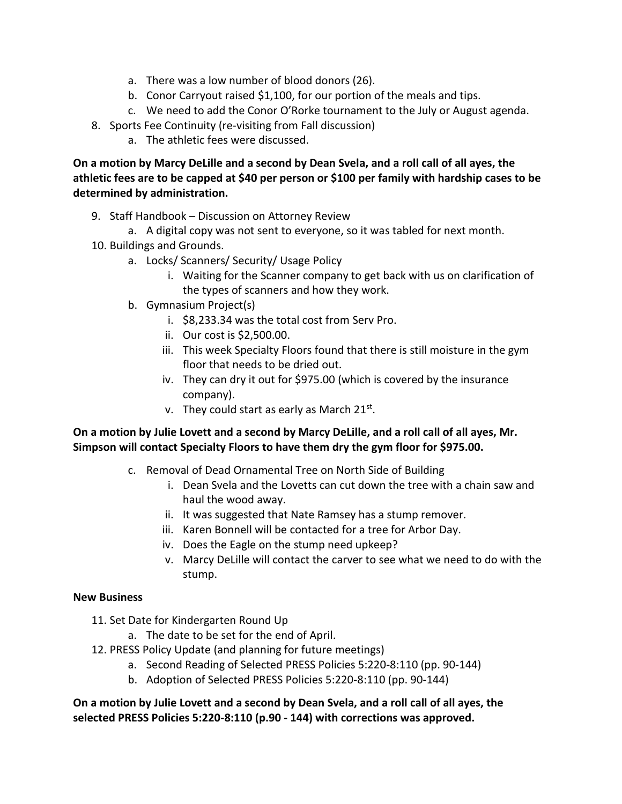- a. There was a low number of blood donors (26).
- b. Conor Carryout raised \$1,100, for our portion of the meals and tips.
- c. We need to add the Conor O'Rorke tournament to the July or August agenda.
- 8. Sports Fee Continuity (re-visiting from Fall discussion)
	- a. The athletic fees were discussed.

**On a motion by Marcy DeLille and a second by Dean Svela, and a roll call of all ayes, the athletic fees are to be capped at \$40 per person or \$100 per family with hardship cases to be determined by administration.**

- 9. Staff Handbook Discussion on Attorney Review
	- a. A digital copy was not sent to everyone, so it was tabled for next month.
- 10. Buildings and Grounds.
	- a. Locks/ Scanners/ Security/ Usage Policy
		- i. Waiting for the Scanner company to get back with us on clarification of the types of scanners and how they work.
	- b. Gymnasium Project(s)
		- i. \$8,233.34 was the total cost from Serv Pro.
		- ii. Our cost is \$2,500.00.
		- iii. This week Specialty Floors found that there is still moisture in the gym floor that needs to be dried out.
		- iv. They can dry it out for \$975.00 (which is covered by the insurance company).
		- v. They could start as early as March 21st.

### **On a motion by Julie Lovett and a second by Marcy DeLille, and a roll call of all ayes, Mr. Simpson will contact Specialty Floors to have them dry the gym floor for \$975.00.**

- c. Removal of Dead Ornamental Tree on North Side of Building
	- i. Dean Svela and the Lovetts can cut down the tree with a chain saw and haul the wood away.
	- ii. It was suggested that Nate Ramsey has a stump remover.
	- iii. Karen Bonnell will be contacted for a tree for Arbor Day.
	- iv. Does the Eagle on the stump need upkeep?
	- v. Marcy DeLille will contact the carver to see what we need to do with the stump.

#### **New Business**

- 11. Set Date for Kindergarten Round Up
	- a. The date to be set for the end of April.
- 12. PRESS Policy Update (and planning for future meetings)
	- a. Second Reading of Selected PRESS Policies 5:220-8:110 (pp. 90-144)
	- b. Adoption of Selected PRESS Policies 5:220-8:110 (pp. 90-144)

**On a motion by Julie Lovett and a second by Dean Svela, and a roll call of all ayes, the selected PRESS Policies 5:220-8:110 (p.90 - 144) with corrections was approved.**